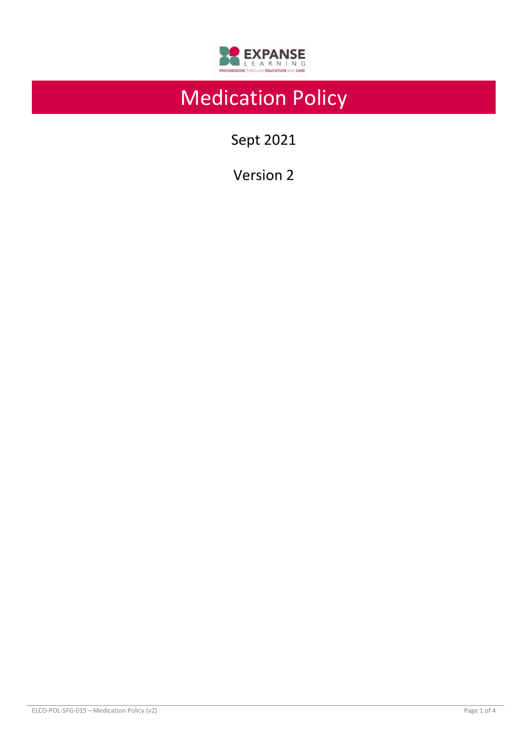

# Medication Policy

Sept 2021

Version 2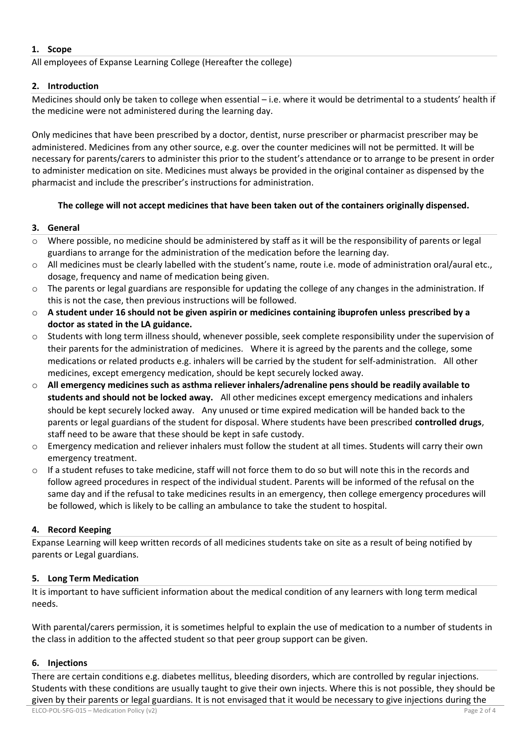# **1. Scope**

All employees of Expanse Learning College (Hereafter the college)

# **2. Introduction**

Medicines should only be taken to college when essential – i.e. where it would be detrimental to a students' health if the medicine were not administered during the learning day.

Only medicines that have been prescribed by a doctor, dentist, nurse prescriber or pharmacist prescriber may be administered. Medicines from any other source, e.g. over the counter medicines will not be permitted. It will be necessary for parents/carers to administer this prior to the student's attendance or to arrange to be present in order to administer medication on site. Medicines must always be provided in the original container as dispensed by the pharmacist and include the prescriber's instructions for administration.

# **The college will not accept medicines that have been taken out of the containers originally dispensed.**

# **3. General**

- o Where possible, no medicine should be administered by staff as it will be the responsibility of parents or legal guardians to arrange for the administration of the medication before the learning day.
- o All medicines must be clearly labelled with the student's name, route i.e. mode of administration oral/aural etc., dosage, frequency and name of medication being given.
- $\circ$  The parents or legal guardians are responsible for updating the college of any changes in the administration. If this is not the case, then previous instructions will be followed.
- o **A student under 16 should not be given aspirin or medicines containing ibuprofen unless prescribed by a doctor as stated in the LA guidance.**
- o Students with long term illness should, whenever possible, seek complete responsibility under the supervision of their parents for the administration of medicines. Where it is agreed by the parents and the college, some medications or related products e.g. inhalers will be carried by the student for self-administration. All other medicines, except emergency medication, should be kept securely locked away.
- o **All emergency medicines such as asthma reliever inhalers/adrenaline pens should be readily available to students and should not be locked away.** All other medicines except emergency medications and inhalers should be kept securely locked away. Any unused or time expired medication will be handed back to the parents or legal guardians of the student for disposal. Where students have been prescribed **controlled drugs**, staff need to be aware that these should be kept in safe custody.
- $\circ$  Emergency medication and reliever inhalers must follow the student at all times. Students will carry their own emergency treatment.
- $\circ$  If a student refuses to take medicine, staff will not force them to do so but will note this in the records and follow agreed procedures in respect of the individual student. Parents will be informed of the refusal on the same day and if the refusal to take medicines results in an emergency, then college emergency procedures will be followed, which is likely to be calling an ambulance to take the student to hospital.

# **4. Record Keeping**

Expanse Learning will keep written records of all medicines students take on site as a result of being notified by parents or Legal guardians.

# **5. Long Term Medication**

It is important to have sufficient information about the medical condition of any learners with long term medical needs.

With parental/carers permission, it is sometimes helpful to explain the use of medication to a number of students in the class in addition to the affected student so that peer group support can be given.

#### **6. Injections**

There are certain conditions e.g. diabetes mellitus, bleeding disorders, which are controlled by regular injections. Students with these conditions are usually taught to give their own injects. Where this is not possible, they should be given by their parents or legal guardians. It is not envisaged that it would be necessary to give injections during the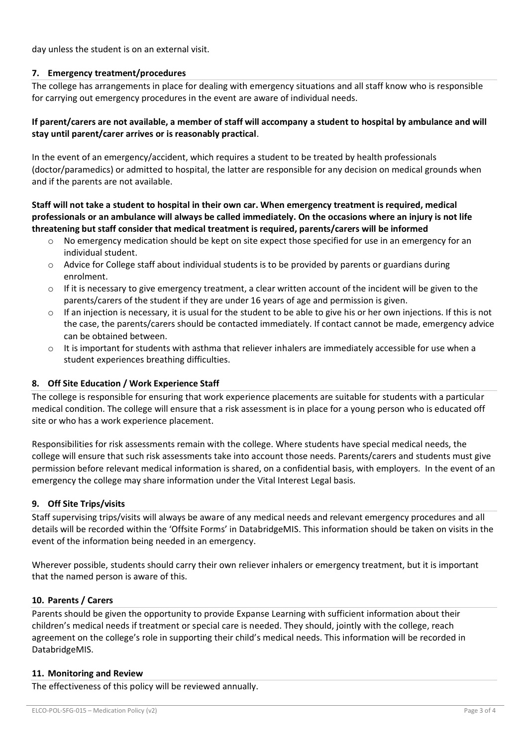day unless the student is on an external visit.

### **7. Emergency treatment/procedures**

The college has arrangements in place for dealing with emergency situations and all staff know who is responsible for carrying out emergency procedures in the event are aware of individual needs.

### **If parent/carers are not available, a member of staff will accompany a student to hospital by ambulance and will stay until parent/carer arrives or is reasonably practical**.

In the event of an emergency/accident, which requires a student to be treated by health professionals (doctor/paramedics) or admitted to hospital, the latter are responsible for any decision on medical grounds when and if the parents are not available.

# **Staff will not take a student to hospital in their own car. When emergency treatment is required, medical professionals or an ambulance will always be called immediately. On the occasions where an injury is not life threatening but staff consider that medical treatment is required, parents/carers will be informed**

- o No emergency medication should be kept on site expect those specified for use in an emergency for an individual student.
- $\circ$  Advice for College staff about individual students is to be provided by parents or guardians during enrolment.
- $\circ$  If it is necessary to give emergency treatment, a clear written account of the incident will be given to the parents/carers of the student if they are under 16 years of age and permission is given.
- $\circ$  If an injection is necessary, it is usual for the student to be able to give his or her own injections. If this is not the case, the parents/carers should be contacted immediately. If contact cannot be made, emergency advice can be obtained between.
- $\circ$  It is important for students with asthma that reliever inhalers are immediately accessible for use when a student experiences breathing difficulties.

# **8. Off Site Education / Work Experience Staff**

The college is responsible for ensuring that work experience placements are suitable for students with a particular medical condition. The college will ensure that a risk assessment is in place for a young person who is educated off site or who has a work experience placement.

Responsibilities for risk assessments remain with the college. Where students have special medical needs, the college will ensure that such risk assessments take into account those needs. Parents/carers and students must give permission before relevant medical information is shared, on a confidential basis, with employers. In the event of an emergency the college may share information under the Vital Interest Legal basis.

# **9. Off Site Trips/visits**

Staff supervising trips/visits will always be aware of any medical needs and relevant emergency procedures and all details will be recorded within the 'Offsite Forms' in DatabridgeMIS. This information should be taken on visits in the event of the information being needed in an emergency.

Wherever possible, students should carry their own reliever inhalers or emergency treatment, but it is important that the named person is aware of this.

#### **10. Parents / Carers**

Parents should be given the opportunity to provide Expanse Learning with sufficient information about their children's medical needs if treatment or special care is needed. They should, jointly with the college, reach agreement on the college's role in supporting their child's medical needs. This information will be recorded in DatabridgeMIS.

#### **11. Monitoring and Review**

The effectiveness of this policy will be reviewed annually.